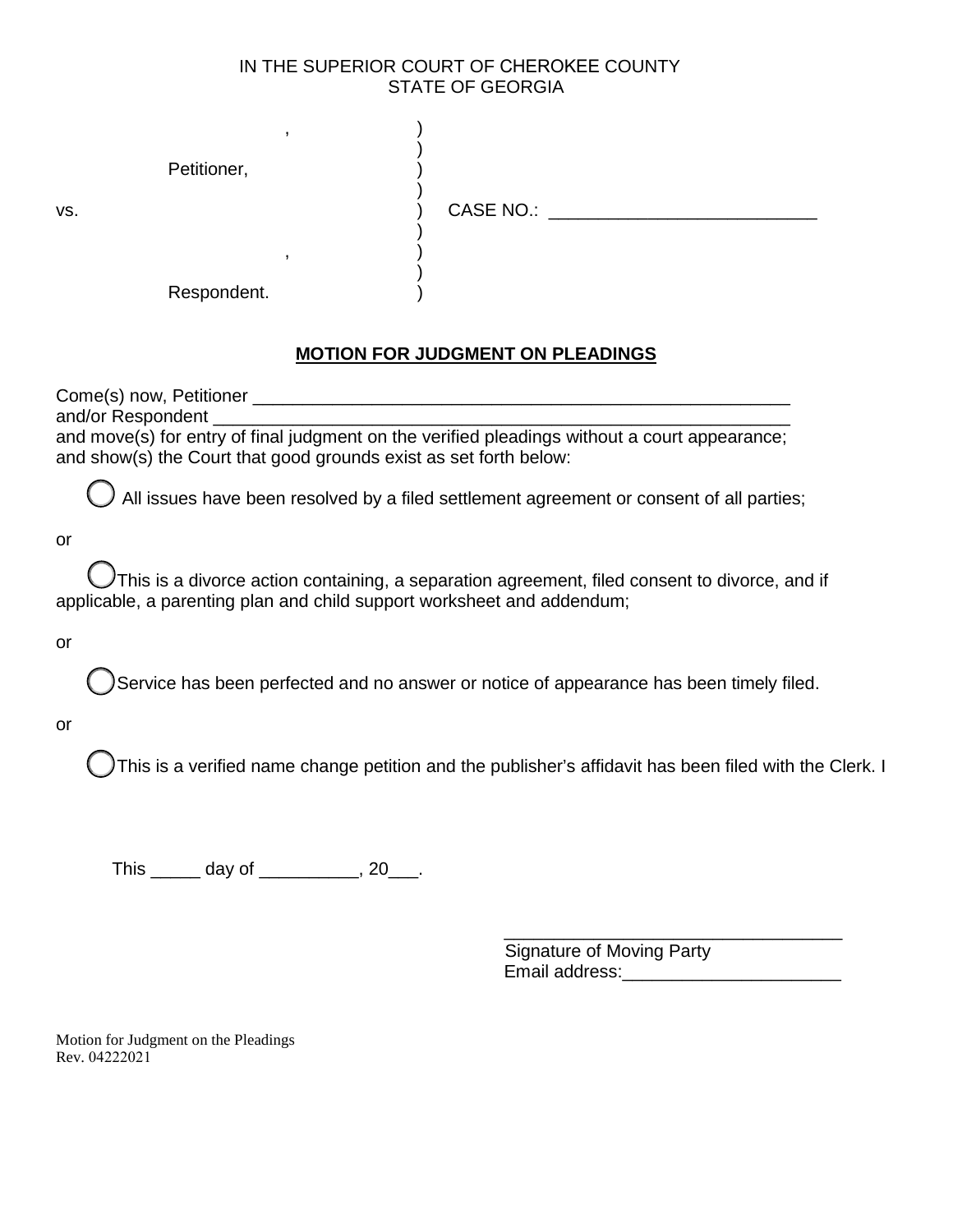## IN THE SUPERIOR COURT OF CHEROKEE COUNTY STATE OF GEORGIA

| VS. | Petitioner, | $\overline{\phantom{a}}$ | CASE NO.: |  |
|-----|-------------|--------------------------|-----------|--|
|     | Respondent. | $\overline{\phantom{a}}$ |           |  |

## **MOTION FOR JUDGMENT ON PLEADINGS**

Come(s) now, Petitioner \_\_\_\_\_\_\_\_\_\_\_\_\_\_\_\_\_\_\_\_\_\_\_\_\_\_\_\_\_\_\_\_\_\_\_\_\_\_\_\_\_\_\_\_\_\_\_\_\_\_\_\_\_\_ and/or Respondent and move(s) for entry of final judgment on the verified pleadings without a court appearance; and show(s) the Court that good grounds exist as set forth below:

All issues have been resolved by a filed settlement agreement or consent of all parties;

or

This is a divorce action containing, a separation agreement, filed consent to divorce, and if applicable, a parenting plan and child support worksheet and addendum;

or

Service has been perfected and no answer or notice of appearance has been timely filed.

or

This is a verified name change petition and the publisher's affidavit has been filed with the Clerk. I

This day of this day of the set of the set of the set of the set of the set of the set of the set of the set o

\_\_\_\_\_\_\_\_\_\_\_\_\_\_\_\_\_\_\_\_\_\_\_\_\_\_\_\_\_\_\_\_\_\_ Signature of Moving Party Email address:

Motion for Judgment on the Pleadings Rev. 04222021